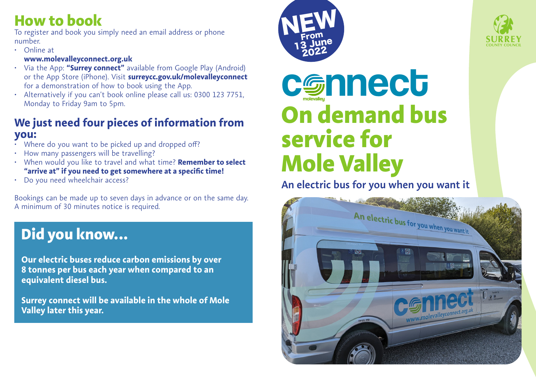### **How to book**

To register and book you simply need an email address or phone number.

• Online at

#### **www.molevalleyconnect.org.uk**

- Via the App: **"Surrey connect"** available from Google Play (Android) or the App Store (iPhone). Visit **surreycc.gov.uk/molevalleyconnect** for a demonstration of how to book using the App.
- Alternatively if you can't book online please call us: 0300 123 7751, Monday to Friday 9am to 5pm.

#### **We just need four pieces of information from you:**

- Where do you want to be picked up and dropped off?
- How many passengers will be travelling?
- When would you like to travel and what time? **Remember to select "arrive at" if you need to get somewhere at a specific time!**
- Do you need wheelchair access?

Bookings can be made up to seven days in advance or on the same day. A minimum of 30 minutes notice is required.

# **Did you know...**

**Our electric buses reduce carbon emissions by over 8 tonnes per bus each year when compared to an equivalent diesel bus.** 

**Surrey connect will be available in the whole of Mole Valley later this year.** 





# **On demand bus service for Mole Valley** molevalley **c** Gnnect **molevalley** Service for

### **An electric bus for you when you want it**